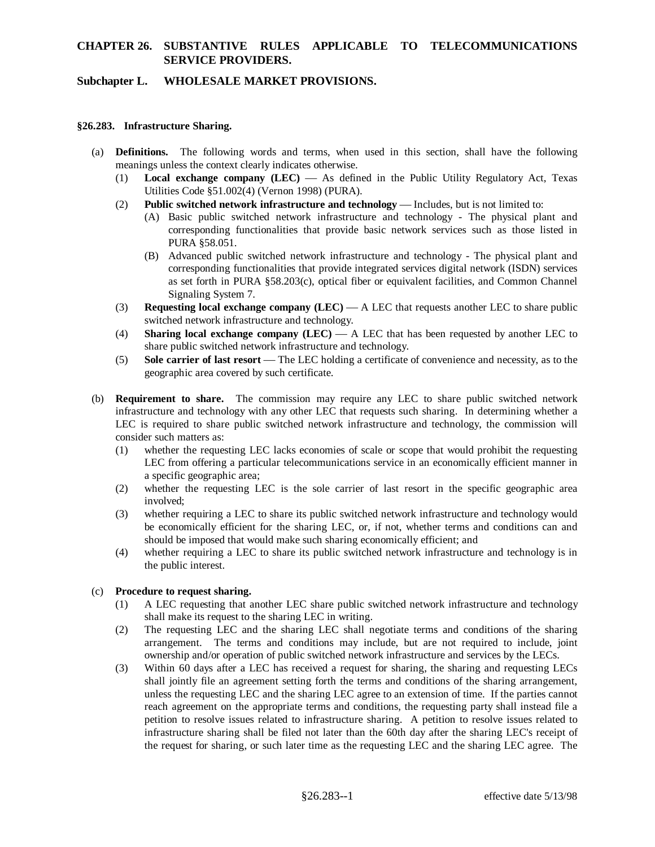# **CHAPTER 26. SUBSTANTIVE RULES APPLICABLE TO TELECOMMUNICATIONS SERVICE PROVIDERS.**

## **Subchapter L. WHOLESALE MARKET PROVISIONS.**

#### **§26.283. Infrastructure Sharing.**

- (a) **Definitions.** The following words and terms, when used in this section, shall have the following meanings unless the context clearly indicates otherwise.
	- (1) **Local exchange company (LEC)** As defined in the Public Utility Regulatory Act, Texas Utilities Code §51.002(4) (Vernon 1998) (PURA).
	- (2) **Public switched network infrastructure and technology** Includes, but is not limited to:
		- (A) Basic public switched network infrastructure and technology The physical plant and corresponding functionalities that provide basic network services such as those listed in PURA §58.051.
		- (B) Advanced public switched network infrastructure and technology The physical plant and corresponding functionalities that provide integrated services digital network (ISDN) services as set forth in PURA §58.203(c), optical fiber or equivalent facilities, and Common Channel Signaling System 7.
	- (3) **Requesting local exchange company (LEC)** A LEC that requests another LEC to share public switched network infrastructure and technology.
	- (4) **Sharing local exchange company (LEC)** A LEC that has been requested by another LEC to share public switched network infrastructure and technology.
	- (5) **Sole carrier of last resort** The LEC holding a certificate of convenience and necessity, as to the geographic area covered by such certificate.
- (b) **Requirement to share.** The commission may require any LEC to share public switched network infrastructure and technology with any other LEC that requests such sharing. In determining whether a LEC is required to share public switched network infrastructure and technology, the commission will consider such matters as:
	- (1) whether the requesting LEC lacks economies of scale or scope that would prohibit the requesting LEC from offering a particular telecommunications service in an economically efficient manner in a specific geographic area;
	- (2) whether the requesting LEC is the sole carrier of last resort in the specific geographic area involved;
	- (3) whether requiring a LEC to share its public switched network infrastructure and technology would be economically efficient for the sharing LEC, or, if not, whether terms and conditions can and should be imposed that would make such sharing economically efficient; and
	- (4) whether requiring a LEC to share its public switched network infrastructure and technology is in the public interest.

## (c) **Procedure to request sharing.**

- (1) A LEC requesting that another LEC share public switched network infrastructure and technology shall make its request to the sharing LEC in writing.
- (2) The requesting LEC and the sharing LEC shall negotiate terms and conditions of the sharing arrangement. The terms and conditions may include, but are not required to include, joint ownership and/or operation of public switched network infrastructure and services by the LECs.
- (3) Within 60 days after a LEC has received a request for sharing, the sharing and requesting LECs shall jointly file an agreement setting forth the terms and conditions of the sharing arrangement, unless the requesting LEC and the sharing LEC agree to an extension of time. If the parties cannot reach agreement on the appropriate terms and conditions, the requesting party shall instead file a petition to resolve issues related to infrastructure sharing. A petition to resolve issues related to infrastructure sharing shall be filed not later than the 60th day after the sharing LEC's receipt of the request for sharing, or such later time as the requesting LEC and the sharing LEC agree. The